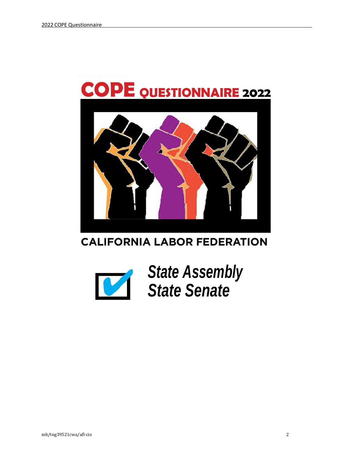

# **CALIFORNIA LABOR FEDERATION**



*State Assembly State Senate*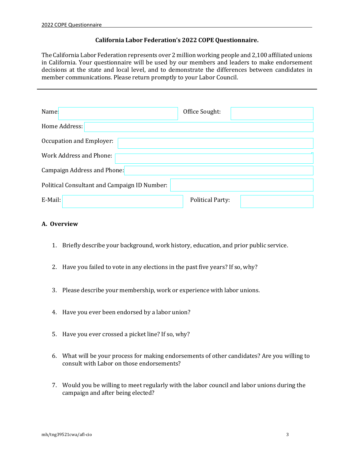# **California Labor Federation's 2022 COPE Questionnaire.**

The California Labor Federation represents over 2 million working people and 2,100 affiliated unions in California. Your questionnaire will be used by our members and leaders to make endorsement decisions at the state and local level, and to demonstrate the differences between candidates in member communications. Please return promptly to your Labor Council.

| Name:                                        | Office Sought:          |  |
|----------------------------------------------|-------------------------|--|
| Home Address:                                |                         |  |
| Occupation and Employer:                     |                         |  |
| Work Address and Phone:                      |                         |  |
| Campaign Address and Phone:                  |                         |  |
| Political Consultant and Campaign ID Number: |                         |  |
| E-Mail:                                      | <b>Political Party:</b> |  |

# **A. Overview**

- 1. Briefly describe your background, work history, education, and prior public service.
- 2. Have you failed to vote in any elections in the past five years? If so, why?
- 3. Please describe your membership, work or experience with labor unions.
- 4. Have you ever been endorsed by a labor union?
- 5. Have you ever crossed a picket line? If so, why?
- 6. What will be your process for making endorsements of other candidates? Are you willing to consult with Labor on those endorsements?
- 7. Would you be willing to meet regularly with the labor council and labor unions during the campaign and after being elected?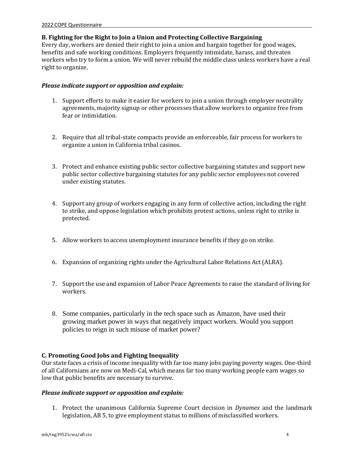## **B. Fighting for the Right to Join a Union and Protecting Collective Bargaining**

Every day, workers are denied their right to join a union and bargain together for good wages, benefits and safe working conditions. Employers frequently intimidate, harass, and threaten workers who try to form a union. We will never rebuild the middle class unless workers have a real right to organize.

## *Please indicate support or opposition and explain:*

- 1. Support efforts to make it easier for workers to join a union through employer neutrality agreements, majority signup or other processes that allow workers to organize free from fear or intimidation.
- 2. Require that all tribal-state compacts provide an enforceable, fair process for workers to organize a union in California tribal casinos.
- 3. Protect and enhance existing public sector collective bargaining statutes and support new public sector collective bargaining statutes for any public sector employees not covered under existing statutes.
- 4. Support any group of workers engaging in any form of collective action, including the right to strike, and oppose legislation which prohibits protest actions, unless right to strike is protected.
- 5. Allow workers to access unemployment insurance benefits if they go on strike.
- 6. Expansion of organizing rights under the Agricultural Labor Relations Act (ALRA).
- 7. Support the use and expansion of Labor Peace Agreements to raise the standard of living for workers.
- 8. Some companies, particularly in the tech space such as Amazon, have used their growing market power in ways that negatively impact workers. Would you support policies to reign in such misuse of market power?

# **C. Promoting Good Jobs and Fighting Inequality**

Our state faces a crisis of income inequality with far too many jobs paying poverty wages. One-third of all Californians are now on Medi-Cal, which means far too many working people earn wages so low that public benefits are necessary to survive.

# *Please indicate support or opposition and explain:*

1. Protect the unanimous California Supreme Court decision in *Dynamex* and the landmark legislation, AB 5, to give employment status to millions of misclassified workers.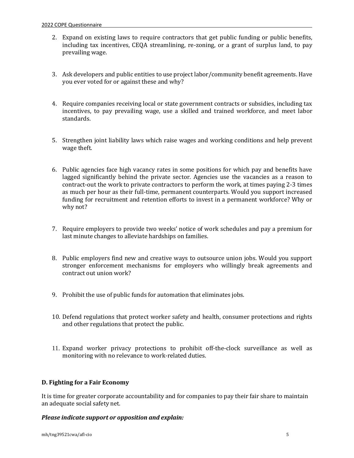- 2. Expand on existing laws to require contractors that get public funding or public benefits, including tax incentives, CEQA streamlining, re-zoning, or a grant of surplus land, to pay prevailing wage.
- 3. Ask developers and public entities to use project labor/community benefit agreements. Have you ever voted for or against these and why?
- 4. Require companies receiving local or state government contracts or subsidies, including tax incentives, to pay prevailing wage, use a skilled and trained workforce, and meet labor standards.
- 5. Strengthen joint liability laws which raise wages and working conditions and help prevent wage theft.
- 6. Public agencies face high vacancy rates in some positions for which pay and benefits have lagged significantly behind the private sector. Agencies use the vacancies as a reason to contract-out the work to private contractors to perform the work, at times paying 2-3 times as much per hour as their full-time, permanent counterparts. Would you support increased funding for recruitment and retention efforts to invest in a permanent workforce? Why or why not?
- 7. Require employers to provide two weeks' notice of work schedules and pay a premium for last minute changes to alleviate hardships on families.
- 8. Public employers find new and creative ways to outsource union jobs. Would you support stronger enforcement mechanisms for employers who willingly break agreements and contract out union work?
- 9. Prohibit the use of public funds for automation that eliminates jobs.
- 10. Defend regulations that protect worker safety and health, consumer protections and rights and other regulations that protect the public.
- 11. Expand worker privacy protections to prohibit off-the-clock surveillance as well as monitoring with no relevance to work-related duties.

# **D. Fighting for a Fair Economy**

It is time for greater corporate accountability and for companies to pay their fair share to maintain an adequate social safety net.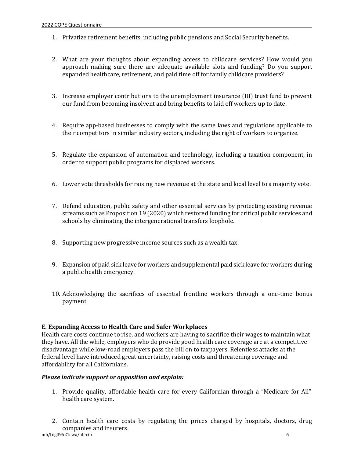- 1. Privatize retirement benefits, including public pensions and Social Security benefits.
- 2. What are your thoughts about expanding access to childcare services? How would you approach making sure there are adequate available slots and funding? Do you support expanded healthcare, retirement, and paid time off for family childcare providers?
- 3. Increase employer contributions to the unemployment insurance (UI) trust fund to prevent our fund from becoming insolvent and bring benefits to laid off workers up to date.
- 4. Require app-based businesses to comply with the same laws and regulations applicable to their competitors in similar industry sectors, including the right of workers to organize.
- 5. Regulate the expansion of automation and technology, including a taxation component, in order to support public programs for displaced workers.
- 6. Lower vote thresholds for raising new revenue at the state and local level to a majority vote.
- 7. Defend education, public safety and other essential services by protecting existing revenue streams such as Proposition 19 (2020) which restored funding for critical public services and schools by eliminating the intergenerational transfers loophole.
- 8. Supporting new progressive income sources such as a wealth tax.
- 9. Expansion of paid sick leave for workers and supplemental paid sick leave for workers during a public health emergency.
- 10. Acknowledging the sacrifices of essential frontline workers through a one-time bonus payment.

#### **E. Expanding Access to Health Care and Safer Workplaces**

Health care costs continue to rise, and workers are having to sacrifice their wages to maintain what they have. All the while, employers who do provide good health care coverage are at a competitive disadvantage while low-road employers pass the bill on to taxpayers. Relentless attacks at the federal level have introduced great uncertainty, raising costs and threatening coverage and affordability for all Californians.

- 1. Provide quality, affordable health care for every Californian through a "Medicare for All" health care system.
- mh/tng39521cwa/afl-cio 6 2. Contain health care costs by regulating the prices charged by hospitals, doctors, drug companies and insurers.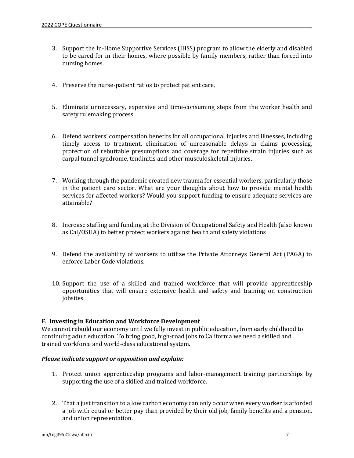- 3. Support the In-Home Supportive Services (IHSS) program to allow the elderly and disabled to be cared for in their homes, where possible by family members, rather than forced into nursing homes.
- 4. Preserve the nurse-patient ratios to protect patient care.
- 5. Eliminate unnecessary, expensive and time-consuming steps from the worker health and safety rulemaking process.
- 6. Defend workers' compensation benefits for all occupational injuries and illnesses, including timely access to treatment, elimination of unreasonable delays in claims processing, protection of rebuttable presumptions and coverage for repetitive strain injuries such as carpal tunnel syndrome, tendinitis and other musculoskeletal injuries.
- 7. Working through the pandemic created new trauma for essential workers, particularly those in the patient care sector. What are your thoughts about how to provide mental health services for affected workers? Would you support funding to ensure adequate services are attainable?
- 8. Increase staffing and funding at the Division of Occupational Safety and Health (also known as Cal/OSHA) to better protect workers against health and safety violations
- 9. Defend the availability of workers to utilize the Private Attorneys General Act (PAGA) to enforce Labor Code violations.
- 10. Support the use of a skilled and trained workforce that will provide apprenticeship opportunities that will ensure extensive health and safety and training on construction jobsites.

# **F. Investing in Education and Workforce Development**

We cannot rebuild our economy until we fully invest in public education, from early childhood to continuing adult education. To bring good, high-road jobs to California we need a skilled and trained workforce and world-class educational system.

- 1. Protect union apprenticeship programs and labor-management training partnerships by supporting the use of a skilled and trained workforce.
- 2. That a just transition to a low carbon economy can only occur when every worker is afforded a job with equal or better pay than provided by their old job, family benefits and a pension, and union representation.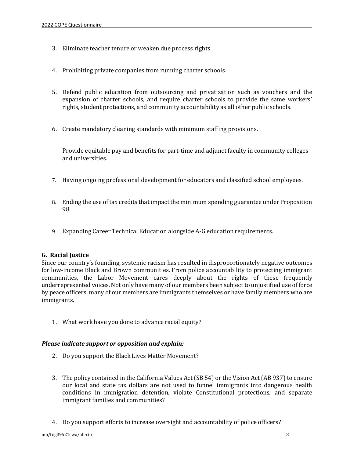- 3. Eliminate teacher tenure or weaken due process rights.
- 4. Prohibiting private companies from running charter schools.
- 5. Defend public education from outsourcing and privatization such as vouchers and the expansion of charter schools, and require charter schools to provide the same workers' rights, student protections, and community accountability as all other public schools.
- 6. Create mandatory cleaning standards with minimum staffing provisions.

Provide equitable pay and benefits for part-time and adjunct faculty in community colleges and universities.

- 7. Having ongoing professional development for educators and classified school employees.
- 8. Ending the use of tax credits that impact the minimum spending guarantee under Proposition 98.
- 9. Expanding Career Technical Education alongside A-G education requirements.

#### **G. Racial Justice**

Since our country's founding, systemic racism has resulted in disproportionately negative outcomes for low-income Black and Brown communities. From police accountability to protecting immigrant communities, the Labor Movement cares deeply about the rights of these frequently underrepresented voices.Not only have many of our members been subject to unjustified use of force by peace officers, many of our members are immigrants themselves or have family members who are immigrants.

1. What work have you done to advance racial equity?

- 2. Do you support the Black Lives Matter Movement?
- 3. The policy contained in the California Values Act (SB 54) or the Vision Act (AB 937) to ensure our local and state tax dollars are not used to funnel immigrants into dangerous health conditions in immigration detention, violate Constitutional protections, and separate immigrant families and communities?
- 4. Do you support efforts to increase oversight and accountability of police officers?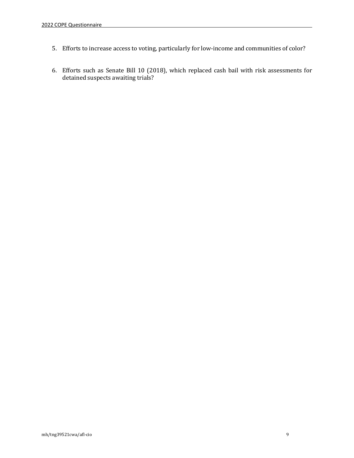- 5. Efforts to increase access to voting, particularly for low-income and communities of color?
- 6. Efforts such as Senate Bill 10 (2018), which replaced cash bail with risk assessments for detained suspects awaiting trials?